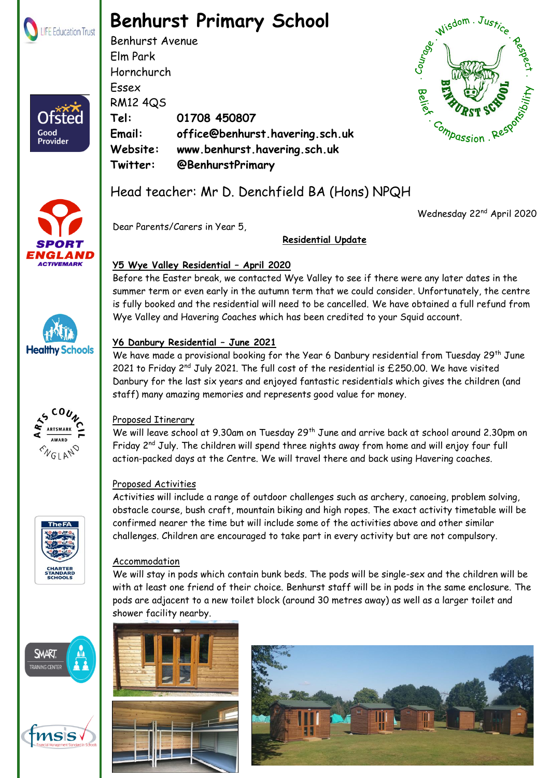

Ofster

Good Provider

## **Benhurst Primary School**

Benhurst Avenue Elm Park Hornchurch Essex RM12 4QS **Tel: 01708 450807 Email: office@benhurst.havering.sch.uk Website: www.benhurst.havering.sch.uk Twitter: @BenhurstPrimary** Hornchurch<br>
Essex<br>
RM12 4Q5<br>
Tel: 01708 450807<br>
Email: office@benhurst.havering.sch.uk<br>
Website: www.benhurst.havering.sch.uk<br>
Twitter: @BenhurstPrimary<br>
Head teacher: Mr D. Denchfield BA (Hons) NPQH





Dear Parents/Carers in Year 5,

#### **Residential Update**

#### **Y5 Wye Valley Residential – April 2020**

Before the Easter break, we contacted Wye Valley to see if there were any later dates in the summer term or even early in the autumn term that we could consider. Unfortunately, the centre is fully booked and the residential will need to be cancelled. We have obtained a full refund from Wye Valley and Havering Coaches which has been credited to your Squid account.

#### **Y6 Danbury Residential – June 2021**

We have made a provisional booking for the Year 6 Danbury residential from Tuesday 29<sup>th</sup> June 2021 to Friday  $2^{nd}$  July 2021. The full cost of the residential is £250.00. We have visited Danbury for the last six years and enjoyed fantastic residentials which gives the children (and staff) many amazing memories and represents good value for money.

### Proposed Itinerary

We will leave school at 9.30am on Tuesday 29<sup>th</sup> June and arrive back at school around 2.30pm on Friday 2<sup>nd</sup> July. The children will spend three nights away from home and will enjoy four full action-packed days at the Centre. We will travel there and back using Havering coaches.

### Proposed Activities

Activities will include a range of outdoor challenges such as archery, canoeing, problem solving, obstacle course, bush craft, mountain biking and high ropes. The exact activity timetable will be confirmed nearer the time but will include some of the activities above and other similar challenges. Children are encouraged to take part in every activity but are not compulsory.

#### Accommodation

We will stay in pods which contain bunk beds. The pods will be single-sex and the children will be with at least one friend of their choice. Benhurst staff will be in pods in the same enclosure. The pods are adjacent to a new toilet block (around 30 metres away) as well as a larger toilet and shower facility nearby.









Wednesday 22<sup>nd</sup> April 2020